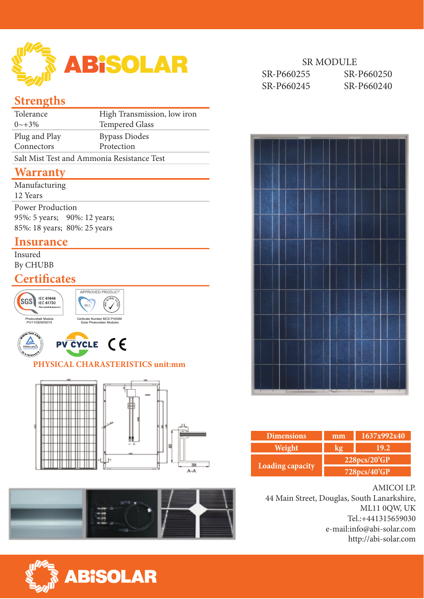

## **Strengths**

| Tolerance                                  | High Transmission, low iron |  |  |  |
|--------------------------------------------|-----------------------------|--|--|--|
| $0 \sim +3\%$                              | <b>Tempered Glass</b>       |  |  |  |
| Plug and Play                              | <b>Bypass Diodes</b>        |  |  |  |
| Connectors                                 | Protection                  |  |  |  |
| Salt Mist Test and Ammonia Resistance Test |                             |  |  |  |
|                                            |                             |  |  |  |

## **Warranty**

| Manufacturing<br>12 Years                                                               |  |
|-----------------------------------------------------------------------------------------|--|
| <b>Power Production</b><br>95%: 5 years; 90%: 12 years;<br>85%: 18 years; 80%: 25 years |  |

### **Insurance**

Insured By CHUBB

## **Certificates**







#### **PHYSICAL CHARASTERISTICS unit:mm**









| <b>Dimensions</b> | mm           | 1637x992x40 |  |  |  |
|-------------------|--------------|-------------|--|--|--|
| Weight            |              | 19.2        |  |  |  |
|                   | 228pcs/20'GP |             |  |  |  |
| Loading capacity  | 728pcs/40'GP |             |  |  |  |

#### AMICOI LP.

44 Main Street, Douglas, South Lanarkshire, ML11 0QW, UK Tel.:+441315659030 e-mail:info@abi-solar.com http://abi-solar.com